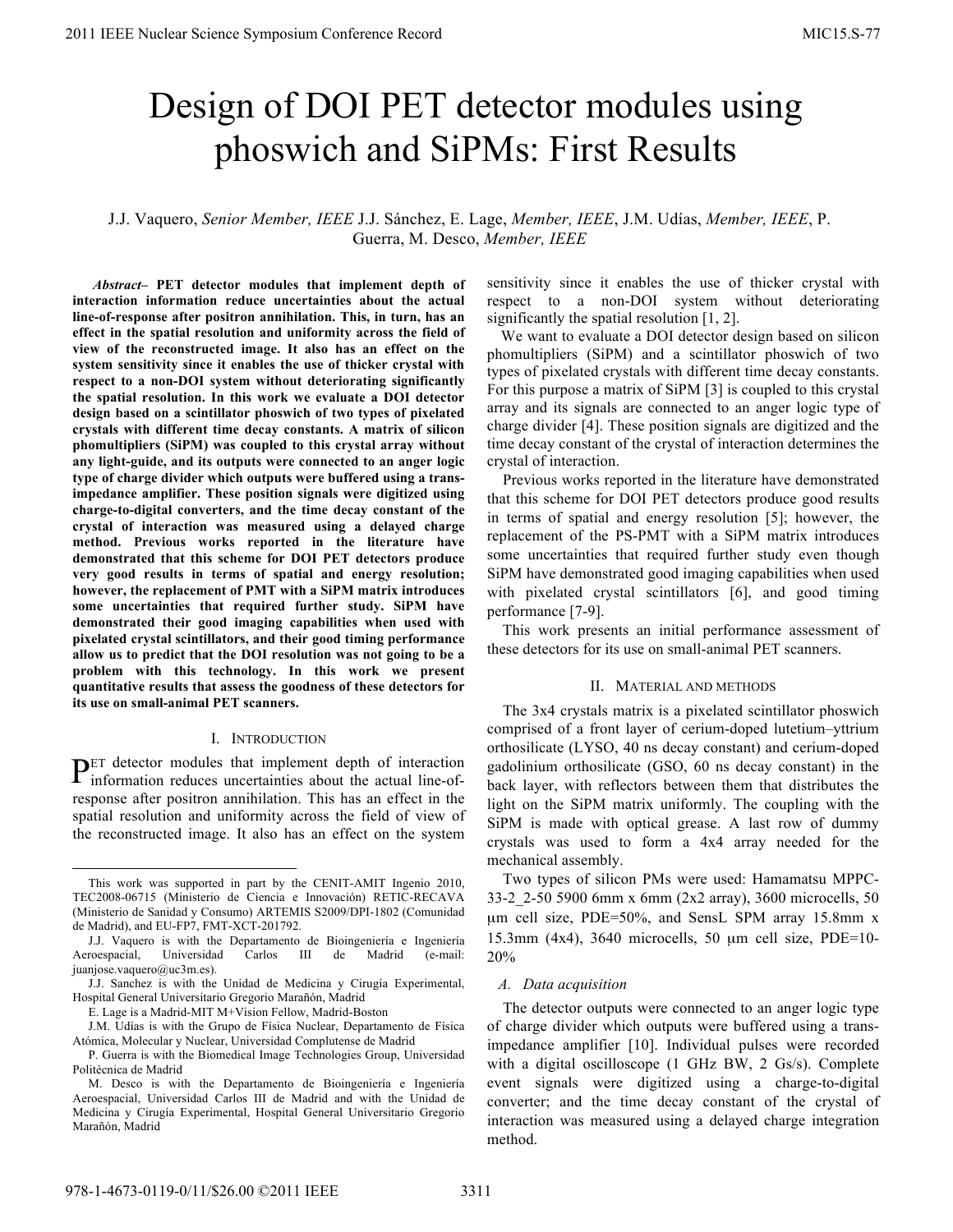# Design of DOI PET detector modules using phoswich and SiPMs: First Results

## J.J. Vaquero, *Senior Member, IEEE* J.J. Sánchez, E. Lage, *Member, IEEE*, J.M. Udías, *Member, IEEE*, P. Guerra, M. Desco, *Member, IEEE*

 *Abstract–* **PET detector modules that implement depth of interaction information reduce uncertainties about the actual line-of-response after positron annihilation. This, in turn, has an effect in the spatial resolution and uniformity across the field of view of the reconstructed image. It also has an effect on the system sensitivity since it enables the use of thicker crystal with respect to a non-DOI system without deteriorating significantly the spatial resolution. In this work we evaluate a DOI detector design based on a scintillator phoswich of two types of pixelated crystals with different time decay constants. A matrix of silicon phomultipliers (SiPM) was coupled to this crystal array without any light-guide, and its outputs were connected to an anger logic type of charge divider which outputs were buffered using a transimpedance amplifier. These position signals were digitized using charge-to-digital converters, and the time decay constant of the crystal of interaction was measured using a delayed charge method. Previous works reported in the literature have demonstrated that this scheme for DOI PET detectors produce very good results in terms of spatial and energy resolution; however, the replacement of PMT with a SiPM matrix introduces some uncertainties that required further study. SiPM have demonstrated their good imaging capabilities when used with pixelated crystal scintillators, and their good timing performance allow us to predict that the DOI resolution was not going to be a problem with this technology. In this work we present quantitative results that assess the goodness of these detectors for its use on small-animal PET scanners.**

#### I. INTRODUCTION

ET detector modules that implement depth of interaction  $P<sup>ET</sup> detector modules that implement depth of interaction information reduces uncertainties about the actual line-of$ response after positron annihilation. This has an effect in the spatial resolution and uniformity across the field of view of the reconstructed image. It also has an effect on the system

sensitivity since it enables the use of thicker crystal with respect to a non-DOI system without deteriorating significantly the spatial resolution [1, 2].

We want to evaluate a DOI detector design based on silicon phomultipliers (SiPM) and a scintillator phoswich of two types of pixelated crystals with different time decay constants. For this purpose a matrix of SiPM [3] is coupled to this crystal array and its signals are connected to an anger logic type of charge divider [4]. These position signals are digitized and the time decay constant of the crystal of interaction determines the crystal of interaction.

Previous works reported in the literature have demonstrated that this scheme for DOI PET detectors produce good results in terms of spatial and energy resolution [5]; however, the replacement of the PS-PMT with a SiPM matrix introduces some uncertainties that required further study even though SiPM have demonstrated good imaging capabilities when used with pixelated crystal scintillators [6], and good timing performance [7-9].

This work presents an initial performance assessment of these detectors for its use on small-animal PET scanners.

### II. MATERIAL AND METHODS

The 3x4 crystals matrix is a pixelated scintillator phoswich comprised of a front layer of cerium-doped lutetium–yttrium orthosilicate (LYSO, 40 ns decay constant) and cerium-doped gadolinium orthosilicate (GSO, 60 ns decay constant) in the back layer, with reflectors between them that distributes the light on the SiPM matrix uniformly. The coupling with the SiPM is made with optical grease. A last row of dummy crystals was used to form a 4x4 array needed for the mechanical assembly.

Two types of silicon PMs were used: Hamamatsu MPPC-33-2\_2-50 5900 6mm x 6mm (2x2 array), 3600 microcells, 50 µm cell size, PDE=50%, and SensL SPM array 15.8mm x 15.3mm (4x4), 3640 microcells, 50 µm cell size, PDE=10- 20%

#### *A. Data acquisition*

The detector outputs were connected to an anger logic type of charge divider which outputs were buffered using a transimpedance amplifier [10]. Individual pulses were recorded with a digital oscilloscope (1 GHz BW, 2 Gs/s). Complete event signals were digitized using a charge-to-digital converter; and the time decay constant of the crystal of interaction was measured using a delayed charge integration method.

This work was supported in part by the CENIT-AMIT Ingenio 2010, TEC2008-06715 (Ministerio de Ciencia e Innovación) RETIC-RECAVA (Ministerio de Sanidad y Consumo) ARTEMIS S2009/DPI-1802 (Comunidad de Madrid), and EU-FP7, FMT-XCT-201792.

J.J. Vaquero is with the Departamento de Bioingeniería e Ingeniería Aeroespacial, Universidad Carlos III de Madrid (e-mail: juanjose.vaquero@uc3m.es).

J.J. Sanchez is with the Unidad de Medicina y Cirugía Experimental, Hospital General Universitario Gregorio Marañón, Madrid

E. Lage is a Madrid-MIT M+Vision Fellow, Madrid-Boston

J.M. Udías is with the Grupo de Física Nuclear, Departamento de Física Atómica, Molecular y Nuclear, Universidad Complutense de Madrid

P. Guerra is with the Biomedical Image Technologies Group, Universidad Politécnica de Madrid

M. Desco is with the Departamento de Bioingeniería e Ingeniería Aeroespacial, Universidad Carlos III de Madrid and with the Unidad de Medicina y Cirugía Experimental, Hospital General Universitario Gregorio Marañón, Madrid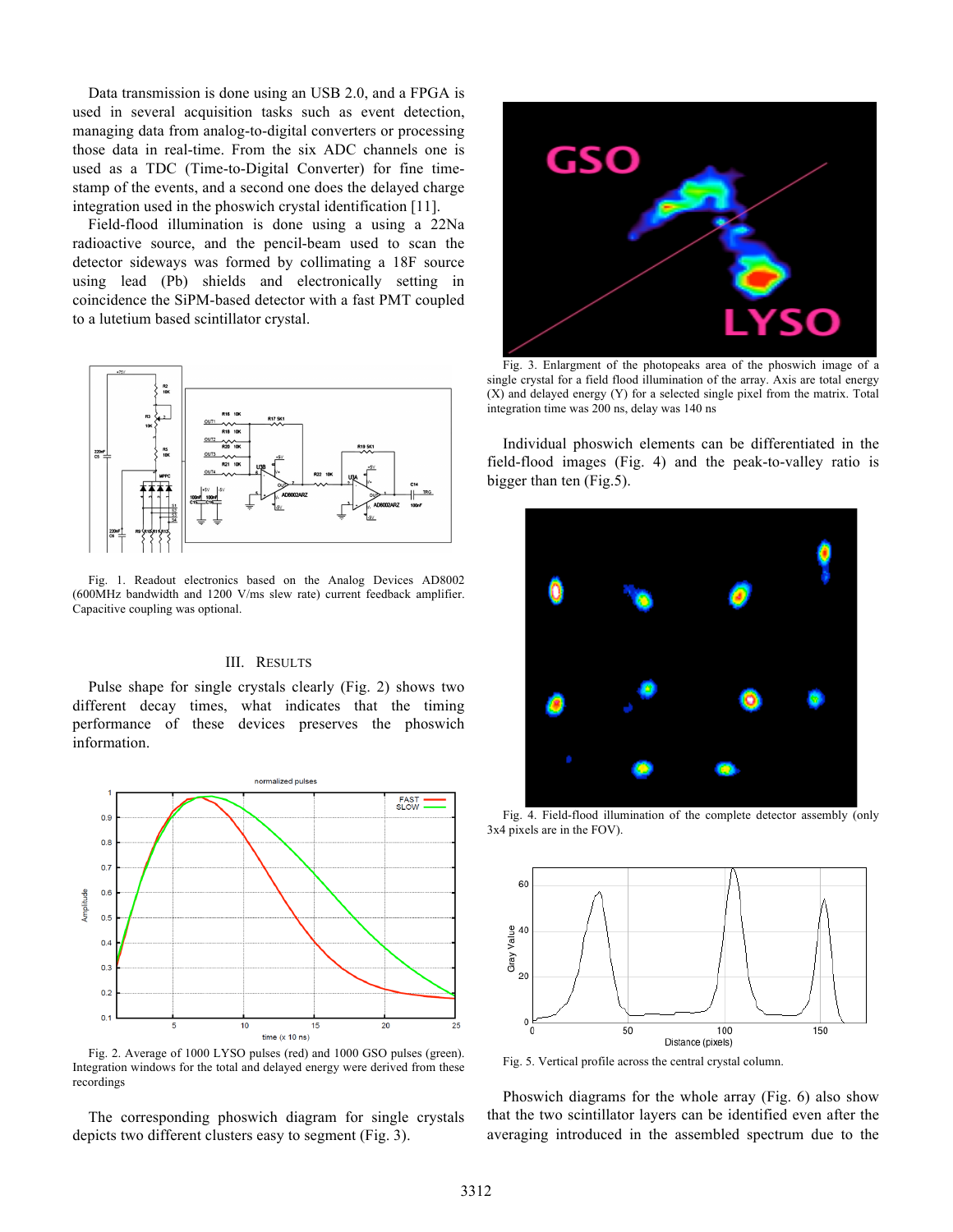Data transmission is done using an USB 2.0, and a FPGA is used in several acquisition tasks such as event detection, managing data from analog-to-digital converters or processing those data in real-time. From the six ADC channels one is used as a TDC (Time-to-Digital Converter) for fine timestamp of the events, and a second one does the delayed charge integration used in the phoswich crystal identification [11].

Field-flood illumination is done using a using a 22Na radioactive source, and the pencil-beam used to scan the detector sideways was formed by collimating a 18F source using lead (Pb) shields and electronically setting in coincidence the SiPM-based detector with a fast PMT coupled to a lutetium based scintillator crystal.



Fig. 1. Readout electronics based on the Analog Devices AD8002 (600MHz bandwidth and 1200 V/ms slew rate) current feedback amplifier. Capacitive coupling was optional.

#### III. RESULTS

Pulse shape for single crystals clearly (Fig. 2) shows two different decay times, what indicates that the timing performance of these devices preserves the phoswich information.



Fig. 2. Average of 1000 LYSO pulses (red) and 1000 GSO pulses (green). Integration windows for the total and delayed energy were derived from these recordings

The corresponding phoswich diagram for single crystals depicts two different clusters easy to segment (Fig. 3).



Fig. 3. Enlargment of the photopeaks area of the phoswich image of a single crystal for a field flood illumination of the array. Axis are total energy (X) and delayed energy (Y) for a selected single pixel from the matrix. Total integration time was 200 ns, delay was 140 ns

Individual phoswich elements can be differentiated in the field-flood images (Fig. 4) and the peak-to-valley ratio is bigger than ten (Fig.5).



Fig. 4. Field-flood illumination of the complete detector assembly (only 3x4 pixels are in the FOV).



Fig. 5. Vertical profile across the central crystal column.

Phoswich diagrams for the whole array (Fig. 6) also show that the two scintillator layers can be identified even after the averaging introduced in the assembled spectrum due to the